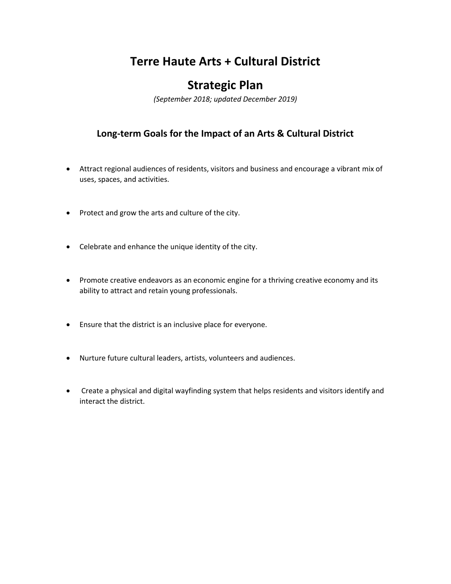# **Terre Haute Arts + Cultural District**

## **Strategic Plan**

*(September 2018; updated December 2019)*

### **Long-term Goals for the Impact of an Arts & Cultural District**

- Attract regional audiences of residents, visitors and business and encourage a vibrant mix of uses, spaces, and activities.
- Protect and grow the arts and culture of the city.
- Celebrate and enhance the unique identity of the city.
- Promote creative endeavors as an economic engine for a thriving creative economy and its ability to attract and retain young professionals.
- Ensure that the district is an inclusive place for everyone.
- Nurture future cultural leaders, artists, volunteers and audiences.
- Create a physical and digital wayfinding system that helps residents and visitors identify and interact the district.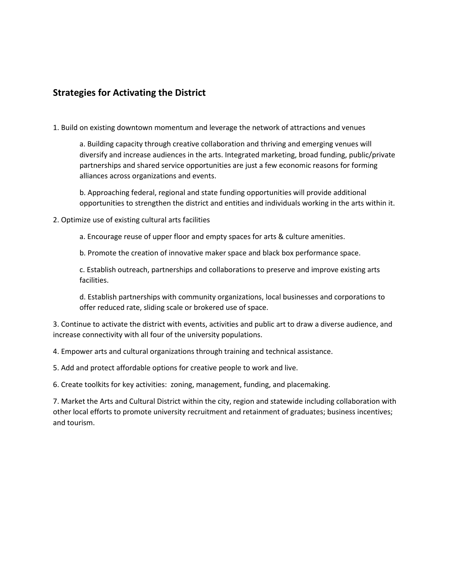#### **Strategies for Activating the District**

1. Build on existing downtown momentum and leverage the network of attractions and venues

a. Building capacity through creative collaboration and thriving and emerging venues will diversify and increase audiences in the arts. Integrated marketing, broad funding, public/private partnerships and shared service opportunities are just a few economic reasons for forming alliances across organizations and events.

b. Approaching federal, regional and state funding opportunities will provide additional opportunities to strengthen the district and entities and individuals working in the arts within it.

#### 2. Optimize use of existing cultural arts facilities

a. Encourage reuse of upper floor and empty spaces for arts & culture amenities.

b. Promote the creation of innovative maker space and black box performance space.

c. Establish outreach, partnerships and collaborations to preserve and improve existing arts facilities.

d. Establish partnerships with community organizations, local businesses and corporations to offer reduced rate, sliding scale or brokered use of space.

3. Continue to activate the district with events, activities and public art to draw a diverse audience, and increase connectivity with all four of the university populations.

4. Empower arts and cultural organizations through training and technical assistance.

5. Add and protect affordable options for creative people to work and live.

6. Create toolkits for key activities: zoning, management, funding, and placemaking.

7. Market the Arts and Cultural District within the city, region and statewide including collaboration with other local efforts to promote university recruitment and retainment of graduates; business incentives; and tourism.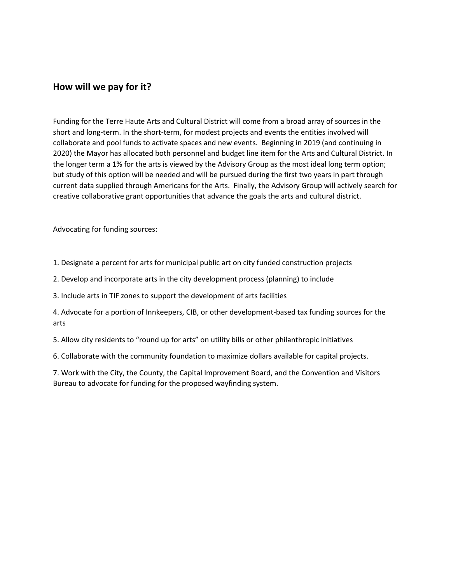#### **How will we pay for it?**

Funding for the Terre Haute Arts and Cultural District will come from a broad array of sources in the short and long-term. In the short-term, for modest projects and events the entities involved will collaborate and pool funds to activate spaces and new events. Beginning in 2019 (and continuing in 2020) the Mayor has allocated both personnel and budget line item for the Arts and Cultural District. In the longer term a 1% for the arts is viewed by the Advisory Group as the most ideal long term option; but study of this option will be needed and will be pursued during the first two years in part through current data supplied through Americans for the Arts. Finally, the Advisory Group will actively search for creative collaborative grant opportunities that advance the goals the arts and cultural district.

Advocating for funding sources:

1. Designate a percent for arts for municipal public art on city funded construction projects

2. Develop and incorporate arts in the city development process (planning) to include

3. Include arts in TIF zones to support the development of arts facilities

4. Advocate for a portion of Innkeepers, CIB, or other development-based tax funding sources for the arts

5. Allow city residents to "round up for arts" on utility bills or other philanthropic initiatives

6. Collaborate with the community foundation to maximize dollars available for capital projects.

7. Work with the City, the County, the Capital Improvement Board, and the Convention and Visitors Bureau to advocate for funding for the proposed wayfinding system.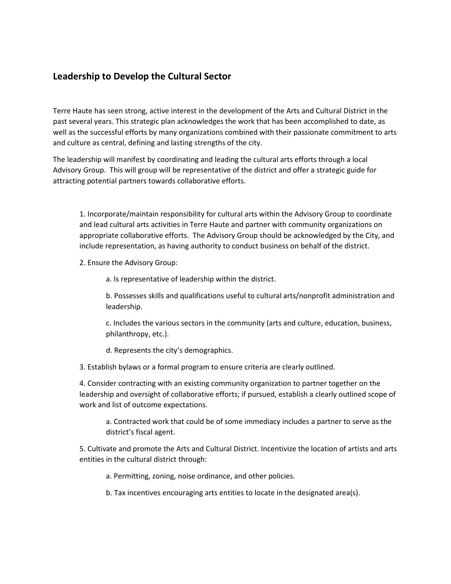#### **Leadership to Develop the Cultural Sector**

Terre Haute has seen strong, active interest in the development of the Arts and Cultural District in the past several years. This strategic plan acknowledges the work that has been accomplished to date, as well as the successful efforts by many organizations combined with their passionate commitment to arts and culture as central, defining and lasting strengths of the city.

The leadership will manifest by coordinating and leading the cultural arts efforts through a local Advisory Group. This will group will be representative of the district and offer a strategic guide for attracting potential partners towards collaborative efforts.

1. Incorporate/maintain responsibility for cultural arts within the Advisory Group to coordinate and lead cultural arts activities in Terre Haute and partner with community organizations on appropriate collaborative efforts. The Advisory Group should be acknowledged by the City, and include representation, as having authority to conduct business on behalf of the district.

2. Ensure the Advisory Group:

a. Is representative of leadership within the district.

b. Possesses skills and qualifications useful to cultural arts/nonprofit administration and leadership.

c. Includes the various sectors in the community (arts and culture, education, business, philanthropy, etc.).

d. Represents the city's demographics.

3. Establish bylaws or a formal program to ensure criteria are clearly outlined.

4. Consider contracting with an existing community organization to partner together on the leadership and oversight of collaborative efforts; if pursued, establish a clearly outlined scope of work and list of outcome expectations.

a. Contracted work that could be of some immediacy includes a partner to serve as the district's fiscal agent.

5. Cultivate and promote the Arts and Cultural District. Incentivize the location of artists and arts entities in the cultural district through:

a. Permitting, zoning, noise ordinance, and other policies.

b. Tax incentives encouraging arts entities to locate in the designated area(s).